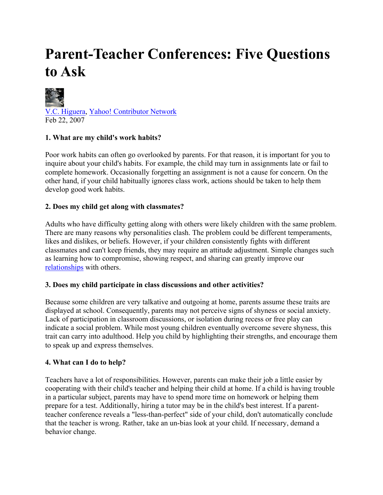# **Parent-Teacher Conferences: Five Questions to Ask**



## **1. What are my child's work habits?**

Poor work habits can often go overlooked by parents. For that reason, it is important for you to inquire about your child's habits. For example, the child may turn in assignments late or fail to complete homework. Occasionally forgetting an assignment is not a cause for concern. On the other hand, if your child habitually ignores class work, actions should be taken to help them develop good work habits.

#### **2. Does my child get along with classmates?**

Adults who have difficulty getting along with others were likely children with the same problem. There are many reasons why personalities clash. The problem could be different temperaments, likes and dislikes, or beliefs. However, if your children consistently fights with different classmates and can't keep friends, they may require an attitude adjustment. Simple changes such as learning how to compromise, showing respect, and sharing can greatly improve our relationships with others.

#### **3. Does my child participate in class discussions and other activities?**

Because some children are very talkative and outgoing at home, parents assume these traits are displayed at school. Consequently, parents may not perceive signs of shyness or social anxiety. Lack of participation in classroom discussions, or isolation during recess or free play can indicate a social problem. While most young children eventually overcome severe shyness, this trait can carry into adulthood. Help you child by highlighting their strengths, and encourage them to speak up and express themselves.

### **4. What can I do to help?**

Teachers have a lot of responsibilities. However, parents can make their job a little easier by cooperating with their child's teacher and helping their child at home. If a child is having trouble in a particular subject, parents may have to spend more time on homework or helping them prepare for a test. Additionally, hiring a tutor may be in the child's best interest. If a parentteacher conference reveals a "less-than-perfect" side of your child, don't automatically conclude that the teacher is wrong. Rather, take an un-bias look at your child. If necessary, demand a behavior change.